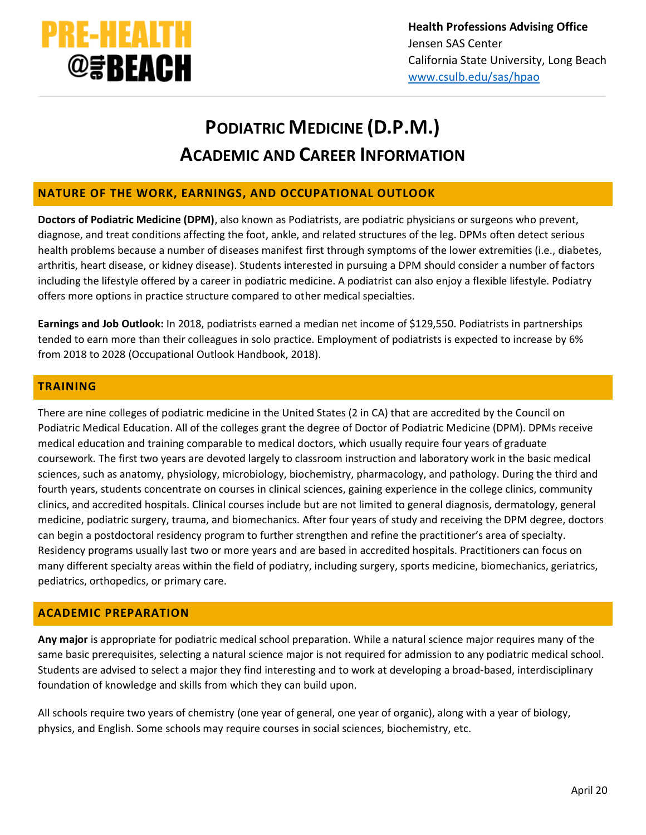

# **PODIATRIC MEDICINE (D.P.M.) ACADEMIC AND CAREER INFORMATION**

## **NATURE OF THE WORK, EARNINGS, AND OCCUPATIONAL OUTLOOK**

**Doctors of Podiatric Medicine (DPM)**, also known as Podiatrists, are podiatric physicians or surgeons who prevent, diagnose, and treat conditions affecting the foot, ankle, and related structures of the leg. DPMs often detect serious health problems because a number of diseases manifest first through symptoms of the lower extremities (i.e., diabetes, arthritis, heart disease, or kidney disease). Students interested in pursuing a DPM should consider a number of factors including the lifestyle offered by a career in podiatric medicine. A podiatrist can also enjoy a flexible lifestyle. Podiatry offers more options in practice structure compared to other medical specialties.

**Earnings and Job Outlook:** In 2018, podiatrists earned a median net income of \$129,550. Podiatrists in partnerships tended to earn more than their colleagues in solo practice. Employment of podiatrists is expected to increase by 6% from 2018 to 2028 (Occupational Outlook Handbook, 2018).

## **TRAINING**

There are nine colleges of podiatric medicine in the United States (2 in CA) that are accredited by the Council on Podiatric Medical Education. All of the colleges grant the degree of Doctor of Podiatric Medicine (DPM). DPMs receive medical education and training comparable to medical doctors, which usually require four years of graduate coursework. The first two years are devoted largely to classroom instruction and laboratory work in the basic medical sciences, such as anatomy, physiology, microbiology, biochemistry, pharmacology, and pathology. During the third and fourth years, students concentrate on courses in clinical sciences, gaining experience in the college clinics, community clinics, and accredited hospitals. Clinical courses include but are not limited to general diagnosis, dermatology, general medicine, podiatric surgery, trauma, and biomechanics. After four years of study and receiving the DPM degree, doctors can begin a postdoctoral residency program to further strengthen and refine the practitioner's area of specialty. Residency programs usually last two or more years and are based in accredited hospitals. Practitioners can focus on many different specialty areas within the field of podiatry, including surgery, sports medicine, biomechanics, geriatrics, pediatrics, orthopedics, or primary care.

### **ACADEMIC PREPARATION**

**Any major** is appropriate for podiatric medical school preparation. While a natural science major requires many of the same basic prerequisites, selecting a natural science major is not required for admission to any podiatric medical school. Students are advised to select a major they find interesting and to work at developing a broad‐based, interdisciplinary foundation of knowledge and skills from which they can build upon.

All schools require two years of chemistry (one year of general, one year of organic), along with a year of biology, physics, and English. Some schools may require courses in social sciences, biochemistry, etc.